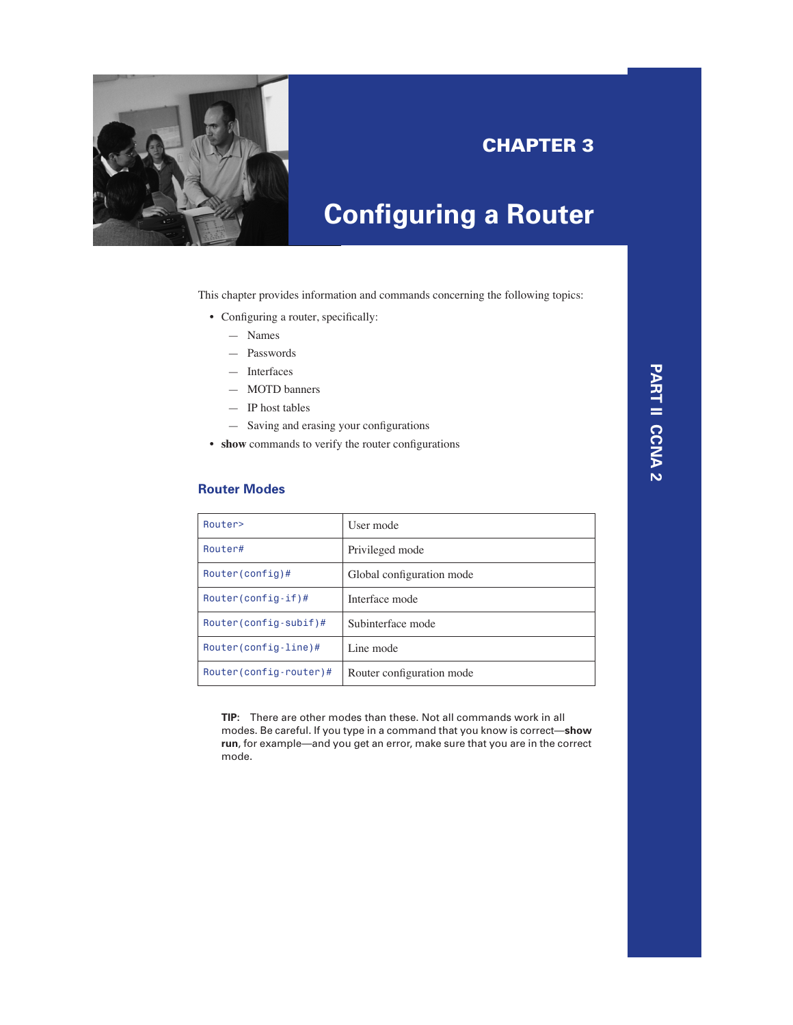

# **CHAPTER 3**

# **Configuring a Router**

This chapter provides information and commands concerning the following topics:

- Configuring a router, specifically:
	- Names
	- Passwords
	- Interfaces
	- MOTD banners
	- IP host tables
	- Saving and erasing your configurations
- **show** commands to verify the router configurations

#### **Router Modes**

| Router>                         | User mode                 |
|---------------------------------|---------------------------|
| Router#                         | Privileged mode           |
| $Router(config)$ #              | Global configuration mode |
| $Router(config-if)$ #           | Interface mode            |
| $Router(config-subif)$ #        | Subinterface mode         |
| Router(config-line)#            | Line mode                 |
| $Router(config\text{-}route)$ # | Router configuration mode |

**TIP:** There are other modes than these. Not all commands work in all modes. Be careful. If you type in a command that you know is correct—**show run**, for example—and you get an error, make sure that you are in the correct mode.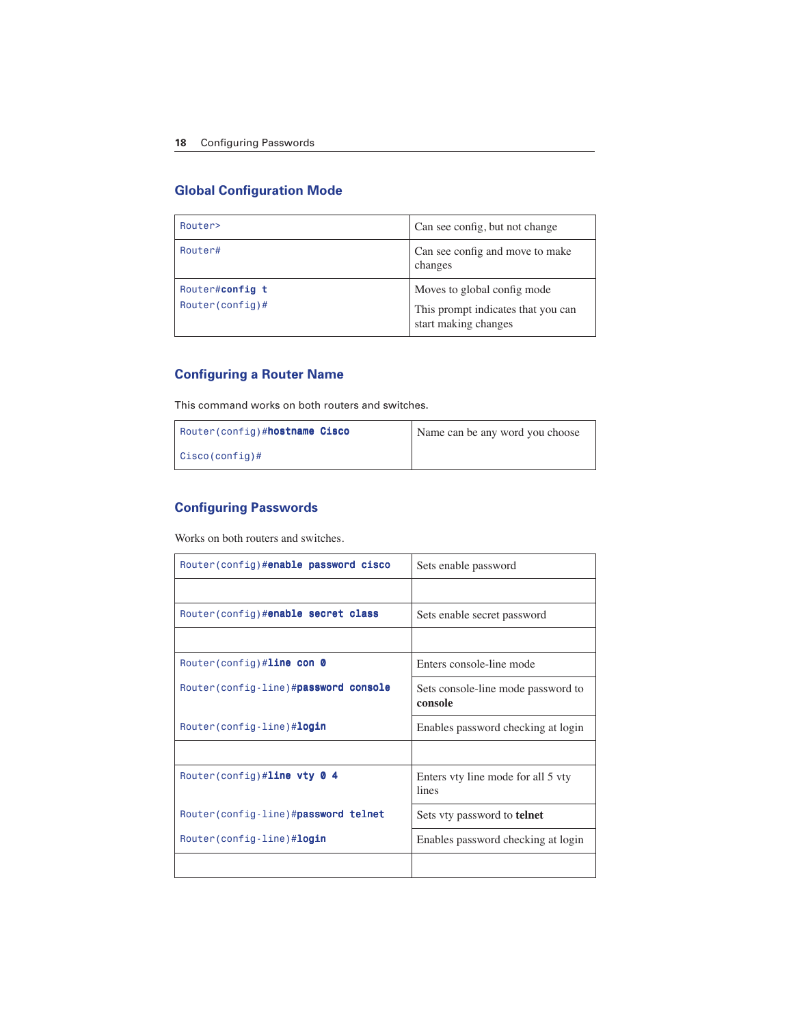# **Global Configuration Mode**

| Router>                               | Can see config, but not change                             |  |
|---------------------------------------|------------------------------------------------------------|--|
| Router#                               | Can see config and move to make<br>changes                 |  |
| Router#config t<br>$Router(config)$ # | Moves to global config mode                                |  |
|                                       | This prompt indicates that you can<br>start making changes |  |

# **Configuring a Router Name**

This command works on both routers and switches.

| Router (config)#hostname Cisco | Name can be any word you choose |
|--------------------------------|---------------------------------|
| $Cisco(config)$ #              |                                 |

# **Configuring Passwords**

Works on both routers and switches.

| Router(config)#enable password cisco  | Sets enable password                          |
|---------------------------------------|-----------------------------------------------|
|                                       |                                               |
| Router(config)#enable secret class    | Sets enable secret password                   |
|                                       |                                               |
| Router (config) #line con $\theta$    | Enters console-line mode                      |
| Router (config-line)#password console | Sets console-line mode password to<br>console |
| Router (config-line)# <b>login</b>    | Enables password checking at login            |
|                                       |                                               |
| Router(config)#line vty $\theta$ 4    | Enters vty line mode for all 5 vty<br>lines   |
| Router (config-line)#password telnet  | Sets vty password to <b>telnet</b>            |
| Router (config-line)# <b>login</b>    | Enables password checking at login            |
|                                       |                                               |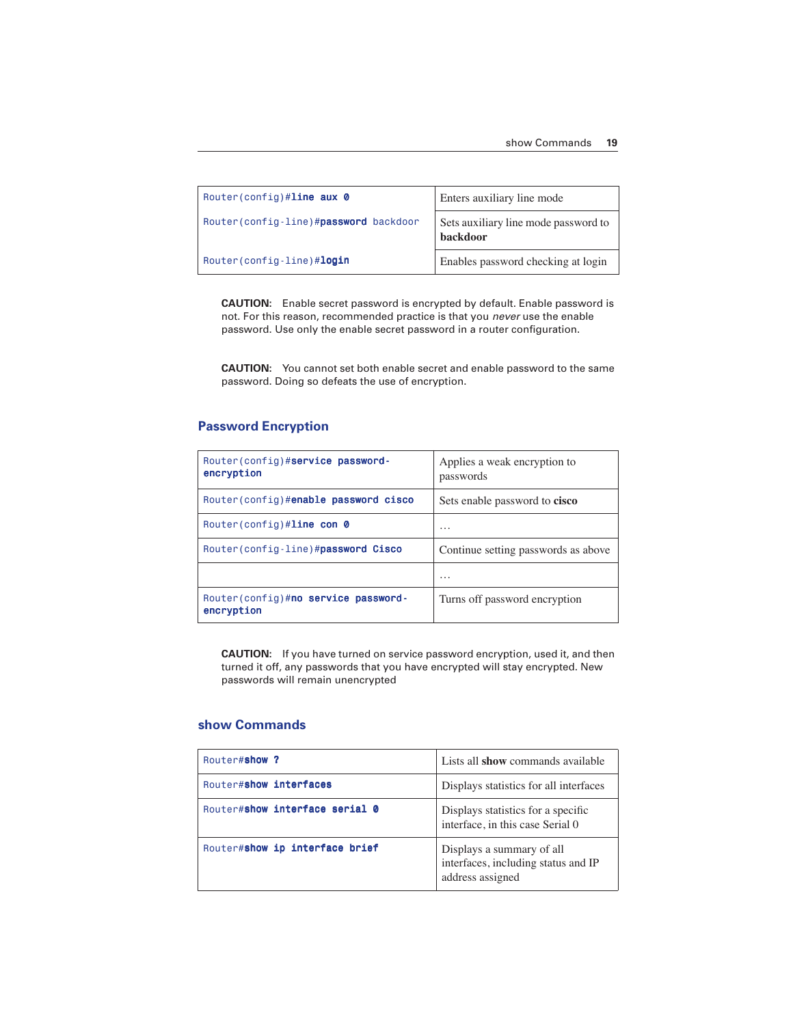| Router(config)#line aux $\theta$      | Enters auxiliary line mode                       |
|---------------------------------------|--------------------------------------------------|
| Router(config-line)#password backdoor | Sets auxiliary line mode password to<br>backdoor |
| Router(config-line)#login             | Enables password checking at login               |

**CAUTION:** Enable secret password is encrypted by default. Enable password is not. For this reason, recommended practice is that you *never* use the enable password. Use only the enable secret password in a router configuration.

**CAUTION:** You cannot set both enable secret and enable password to the same password. Doing so defeats the use of encryption.

# **Password Encryption**

| Router (config)#service password-<br>encryption    | Applies a weak encryption to<br>passwords |
|----------------------------------------------------|-------------------------------------------|
| Router(config)#enable password cisco               | Sets enable password to cisco             |
| Router(config)#line con $\theta$                   | $\cdots$                                  |
| Router (config-line)#password Cisco                | Continue setting passwords as above       |
|                                                    | $\cdots$                                  |
| Router (config)#no service password-<br>encryption | Turns off password encryption             |

**CAUTION:** If you have turned on service password encryption, used it, and then turned it off, any passwords that you have encrypted will stay encrypted. New passwords will remain unencrypted

#### **show Commands**

| Router#show ?                  | Lists all show commands available                                                    |
|--------------------------------|--------------------------------------------------------------------------------------|
| Router#show interfaces         | Displays statistics for all interfaces                                               |
| Router#show interface serial 0 | Displays statistics for a specific<br>interface, in this case Serial 0               |
| Router#show ip interface brief | Displays a summary of all<br>interfaces, including status and IP<br>address assigned |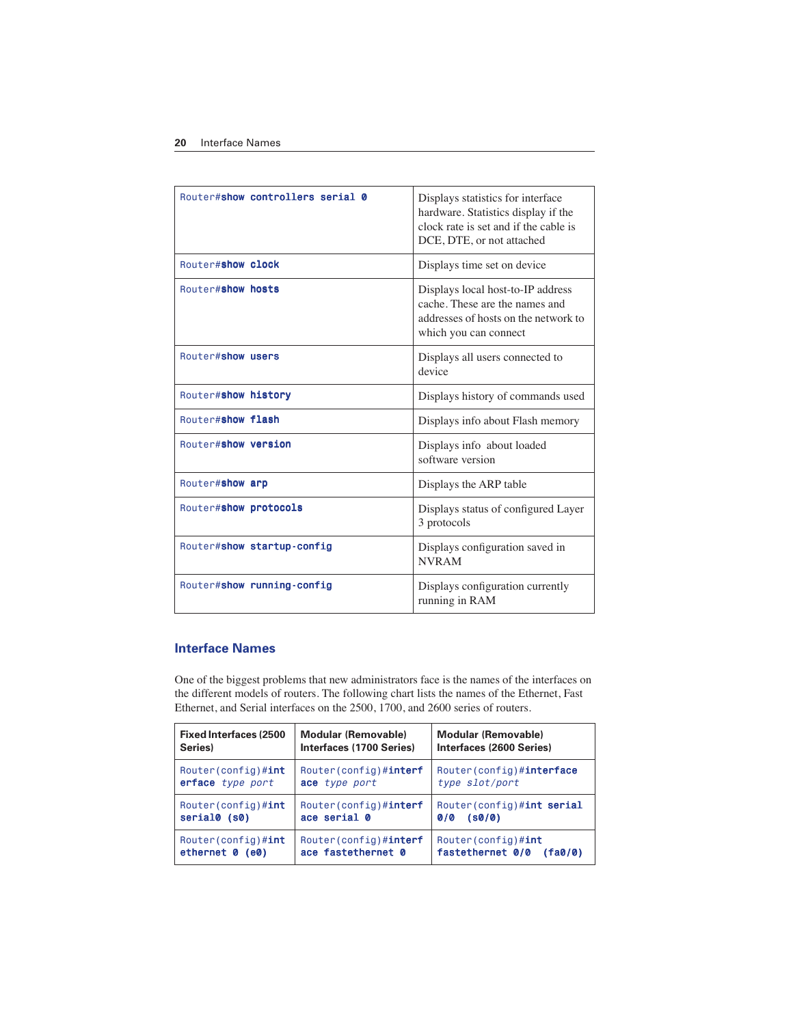| Router#show controllers serial 0 | Displays statistics for interface<br>hardware. Statistics display if the<br>clock rate is set and if the cable is<br>DCE, DTE, or not attached |
|----------------------------------|------------------------------------------------------------------------------------------------------------------------------------------------|
| Router#show clock                | Displays time set on device                                                                                                                    |
| Router#show hosts                | Displays local host-to-IP address<br>cache. These are the names and<br>addresses of hosts on the network to<br>which you can connect           |
| Router#show users                | Displays all users connected to<br>device                                                                                                      |
| Router#show history              | Displays history of commands used                                                                                                              |
| Router#show flash                | Displays info about Flash memory                                                                                                               |
| Router#show version              | Displays info about loaded<br>software version                                                                                                 |
| Router#show arp                  | Displays the ARP table                                                                                                                         |
| Router#show protocols            | Displays status of configured Layer<br>3 protocols                                                                                             |
| Router#show startup-config       | Displays configuration saved in<br><b>NVRAM</b>                                                                                                |
| Router#show running-config       | Displays configuration currently<br>running in RAM                                                                                             |

### **Interface Names**

One of the biggest problems that new administrators face is the names of the interfaces on the different models of routers. The following chart lists the names of the Ethernet, Fast Ethernet, and Serial interfaces on the 2500, 1700, and 2600 series of routers.

| <b>Fixed Interfaces (2500)</b> | <b>Modular (Removable)</b>    | <b>Modular (Removable)</b>  |
|--------------------------------|-------------------------------|-----------------------------|
| Series)                        | Interfaces (1700 Series)      | Interfaces (2600 Series)    |
| Router (config) $\#\text{int}$ | Router(config)#interf         | Router (config) #interface  |
| erface type port               | ace type port                 | type slot/port              |
| Router $(\text{config})$ #int  | Router(config)#interf         | Router (config) #int serial |
| serial0 (s0)                   | ace serial 0                  | $0/0$ (s0/0)                |
| $Router(config)$ #int          | Router(config)# <b>interf</b> | Router (config) $\#int$     |
| ethernet 0 (e0)                | ace fastethernet 0            | fastethernet 0/0 (fa0/0)    |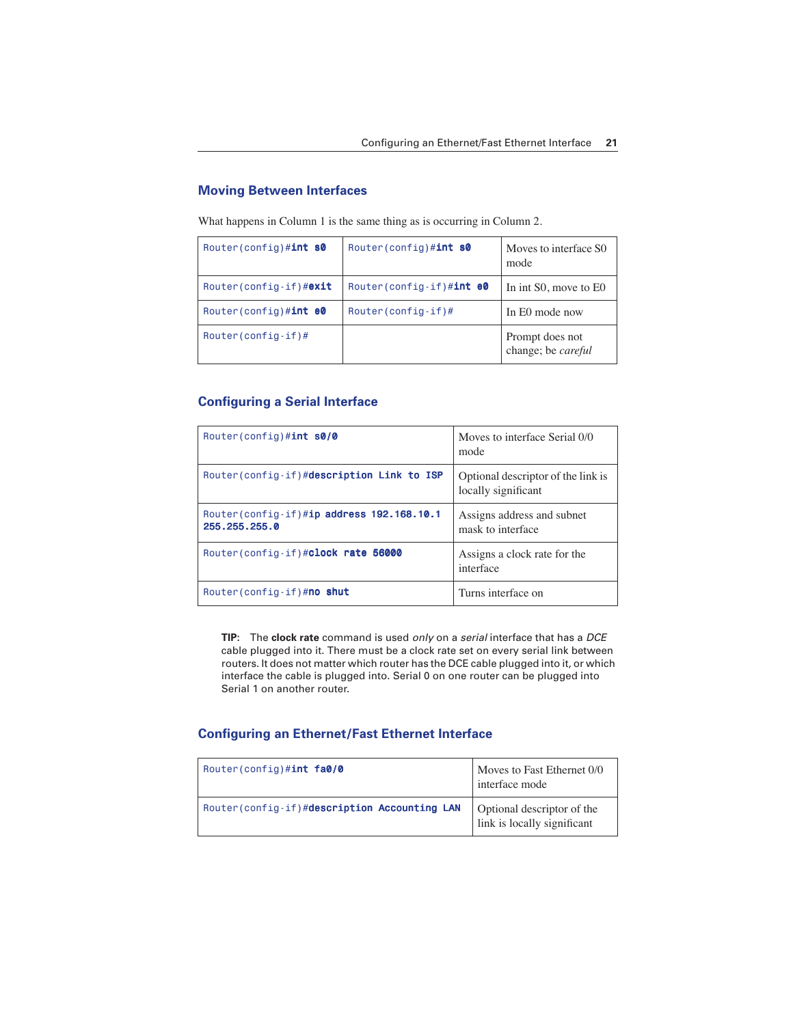#### **Moving Between Interfaces**

What happens in Column 1 is the same thing as is occurring in Column 2.

| Router(config)#int $s0$          | Router (config) $\#int$ s0 | Moves to interface S0<br>mode         |
|----------------------------------|----------------------------|---------------------------------------|
| Router(config-if)#exit           | Router(config-if)#int e0   | In int S0, move to E0                 |
| Router $(\text{config})$ #int e0 | $Router(config-if)$ #      | In E0 mode now                        |
| $Router(config-if)$ #            |                            | Prompt does not<br>change; be careful |

#### **Configuring a Serial Interface**

| Router (config) $\#int$ s0/0                                | Moves to interface Serial 0/0<br>mode                     |
|-------------------------------------------------------------|-----------------------------------------------------------|
| Router(config-if)#description Link to ISP                   | Optional descriptor of the link is<br>locally significant |
| Router (config-if)#ip address 192.168.10.1<br>255.255.255.0 | Assigns address and subnet<br>mask to interface           |
| Router(config-if)#clock rate 56000                          | Assigns a clock rate for the<br>interface                 |
| Router (config-if) #no shut                                 | Turns interface on                                        |

**TIP:** The **clock rate** command is used *only* on a *serial* interface that has a *DCE*  cable plugged into it. There must be a clock rate set on every serial link between routers. It does not matter which router has the DCE cable plugged into it, or which interface the cable is plugged into. Serial 0 on one router can be plugged into Serial 1 on another router.

#### **Configuring an Ethernet/Fast Ethernet Interface**

| Router(config)#int fa0/0                      | Moves to Fast Ethernet 0/0<br>interface mode              |
|-----------------------------------------------|-----------------------------------------------------------|
| Router (config-if)#description Accounting LAN | Optional descriptor of the<br>link is locally significant |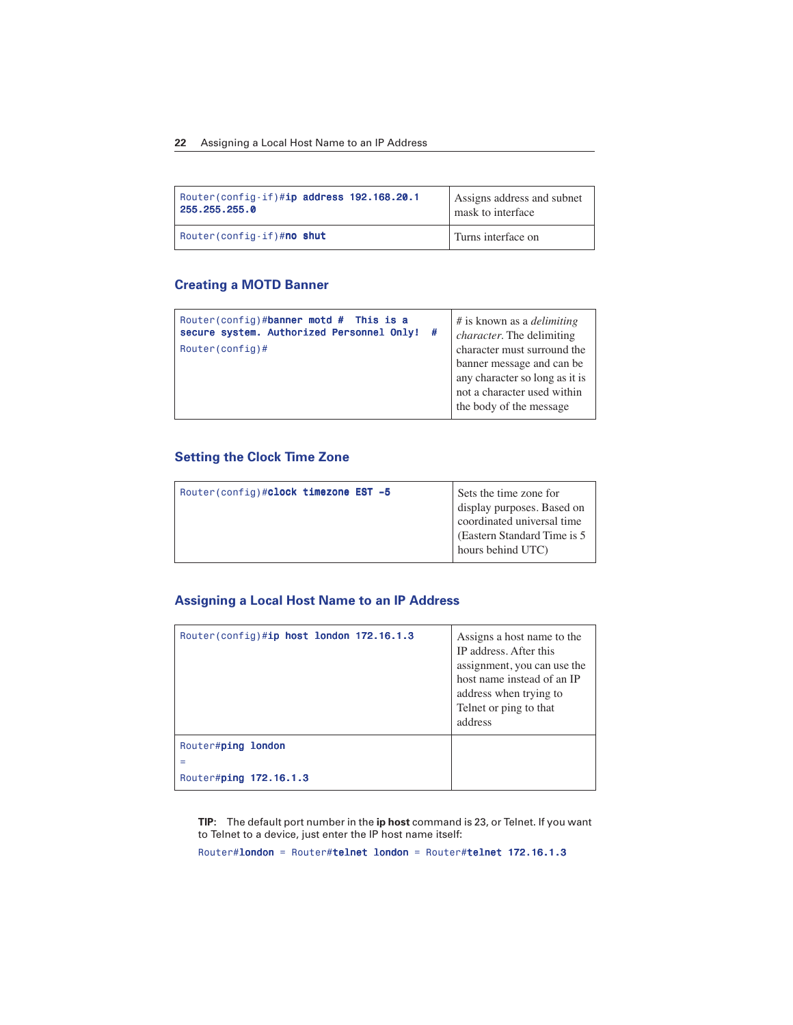#### **22** Assigning a Local Host Name to an IP Address

| Router(config-if)#ip address 192.168.20.1 | Assigns address and subnet |
|-------------------------------------------|----------------------------|
| 255.255.255.0                             | mask to interface          |
| Router (config-if) #no shut               | Turns interface on         |

#### **Creating a MOTD Banner**

| Router(config)#banner motd # This is a<br>secure system. Authorized Personnel Only! #<br>$Router(config)$ # | # is known as a <i>delimiting</i><br>character. The delimiting<br>character must surround the<br>banner message and can be<br>any character so long as it is<br>not a character used within |
|-------------------------------------------------------------------------------------------------------------|---------------------------------------------------------------------------------------------------------------------------------------------------------------------------------------------|
|                                                                                                             | the body of the message                                                                                                                                                                     |

# **Setting the Clock Time Zone**

| Router(config)#clock timezone EST -5 | Sets the time zone for<br>display purposes. Based on<br>coordinated universal time<br>(Eastern Standard Time is 5) |
|--------------------------------------|--------------------------------------------------------------------------------------------------------------------|
|                                      | hours behind UTC)                                                                                                  |

#### **Assigning a Local Host Name to an IP Address**

| Router(config)#ip host london 172.16.1.3 | Assigns a host name to the<br>IP address. After this<br>assignment, you can use the<br>host name instead of an IP<br>address when trying to<br>Telnet or ping to that<br>address |
|------------------------------------------|----------------------------------------------------------------------------------------------------------------------------------------------------------------------------------|
| Router#ping london                       |                                                                                                                                                                                  |
| =                                        |                                                                                                                                                                                  |
| Router#ping 172.16.1.3                   |                                                                                                                                                                                  |

**TIP:** The default port number in the **ip host** command is 23, or Telnet. If you want to Telnet to a device, just enter the IP host name itself:

Router#london = Router#telnet london = Router#telnet 172.16.1.3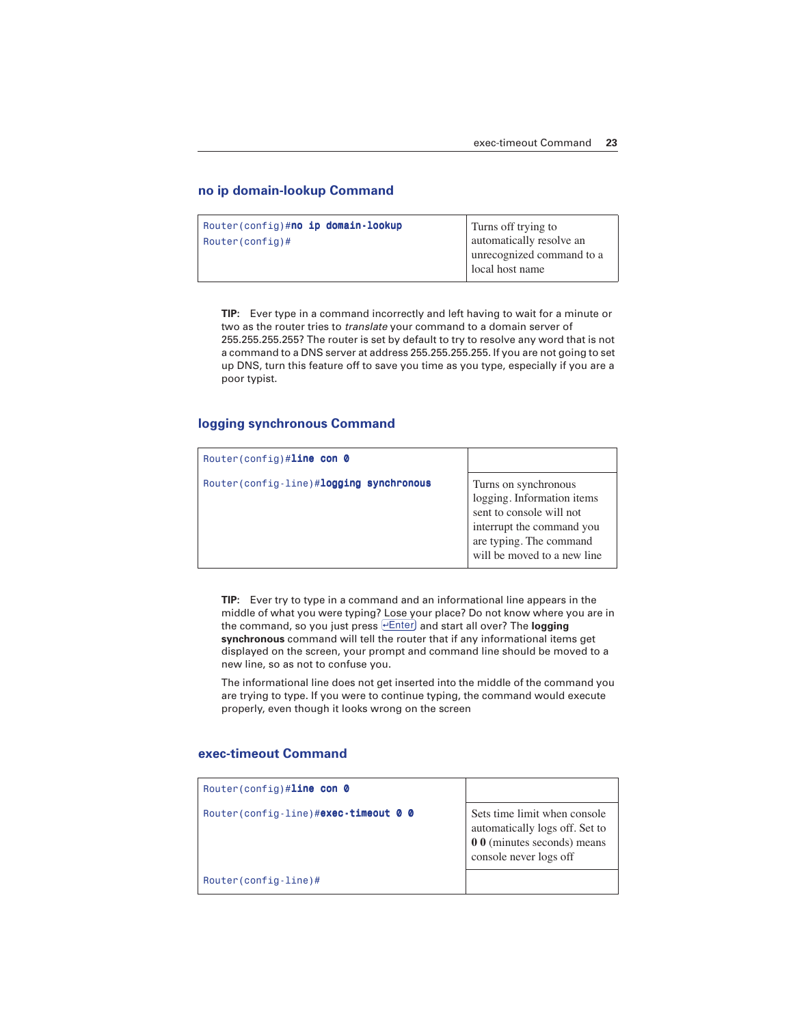#### **no ip domain-lookup Command**

| Router(config)# <b>no ip domain-lookup</b> | Turns off trying to       |
|--------------------------------------------|---------------------------|
| $\vert$ Router (config) #                  | automatically resolve an  |
|                                            | unrecognized command to a |
|                                            | local host name           |

**TIP:** Ever type in a command incorrectly and left having to wait for a minute or two as the router tries to *translate* your command to a domain server of 255.255.255.255? The router is set by default to try to resolve any word that is not a command to a DNS server at address 255.255.255.255. If you are not going to set up DNS, turn this feature off to save you time as you type, especially if you are a poor typist.

#### **logging synchronous Command**

| Router(config)#line con $\theta$        |                                                                                                                                                                       |
|-----------------------------------------|-----------------------------------------------------------------------------------------------------------------------------------------------------------------------|
| Router(config-line)#logging synchronous | Turns on synchronous<br>logging. Information items<br>sent to console will not<br>interrupt the command you<br>are typing. The command<br>will be moved to a new line |

**TIP:** Ever try to type in a command and an informational line appears in the middle of what you were typing? Lose your place? Do not know where you are in the command, so you just press **Enter** and start all over? The **logging synchronous** command will tell the router that if any informational items get displayed on the screen, your prompt and command line should be moved to a new line, so as not to confuse you.

The informational line does not get inserted into the middle of the command you are trying to type. If you were to continue typing, the command would execute properly, even though it looks wrong on the screen

#### **exec-timeout Command**

| Router(config)#line con $\theta$       |                                                                                                                         |
|----------------------------------------|-------------------------------------------------------------------------------------------------------------------------|
| Router (config-line) #exec-timeout 0 0 | Sets time limit when console<br>automatically logs off. Set to<br>0 0 (minutes seconds) means<br>console never logs off |
| Router(config-line)#                   |                                                                                                                         |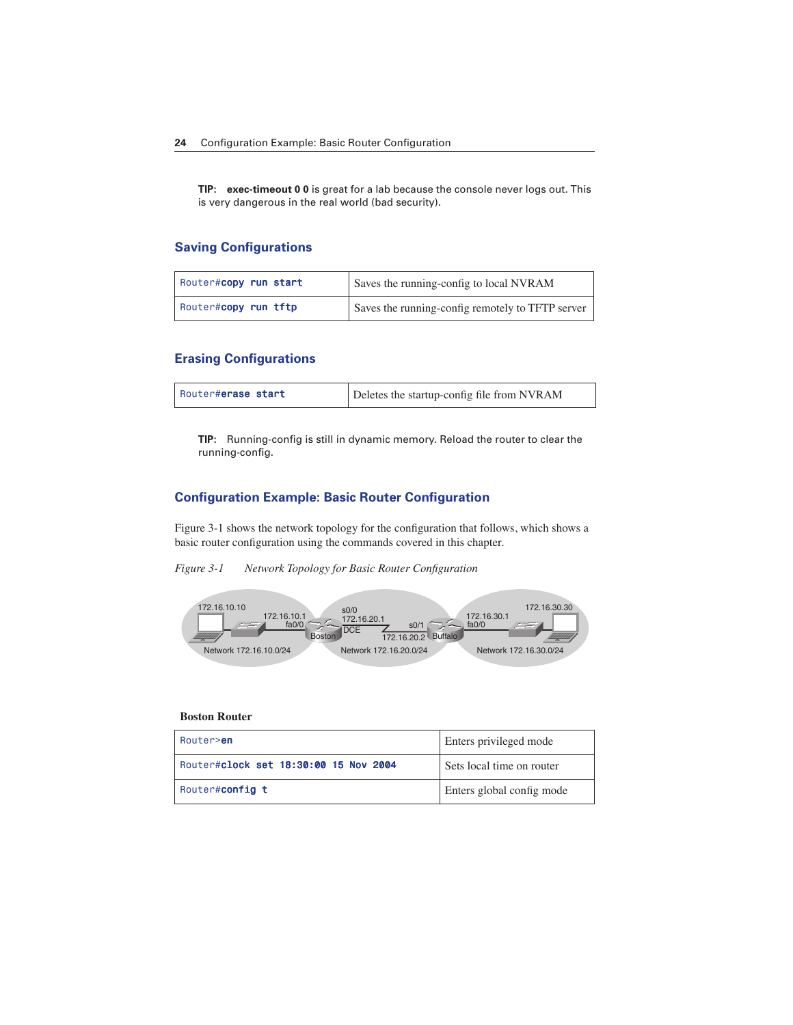**TIP: exec-timeout 0 0** is great for a lab because the console never logs out. This is very dangerous in the real world (bad security).

#### **Saving Configurations**

| Router#copy run start | Saves the running-config to local NVRAM          |
|-----------------------|--------------------------------------------------|
| Router#copy run tftp  | Saves the running-config remotely to TFTP server |

#### **Erasing Configurations**

| Router#erase start | Deletes the startup-config file from NVRAM |
|--------------------|--------------------------------------------|
|--------------------|--------------------------------------------|

**TIP:** Running-config is still in dynamic memory. Reload the router to clear the running-config.

#### **Configuration Example: Basic Router Configuration**

Figure 3-1 shows the network topology for the configuration that follows, which shows a basic router configuration using the commands covered in this chapter.

#### *Figure 3-1 Network Topology for Basic Router Configuration*



#### **Boston Router**

| Router> <b>en</b>                     | Enters privileged mode    |
|---------------------------------------|---------------------------|
| Router#clock set 18:30:00 15 Nov 2004 | Sets local time on router |
| Router#config t                       | Enters global config mode |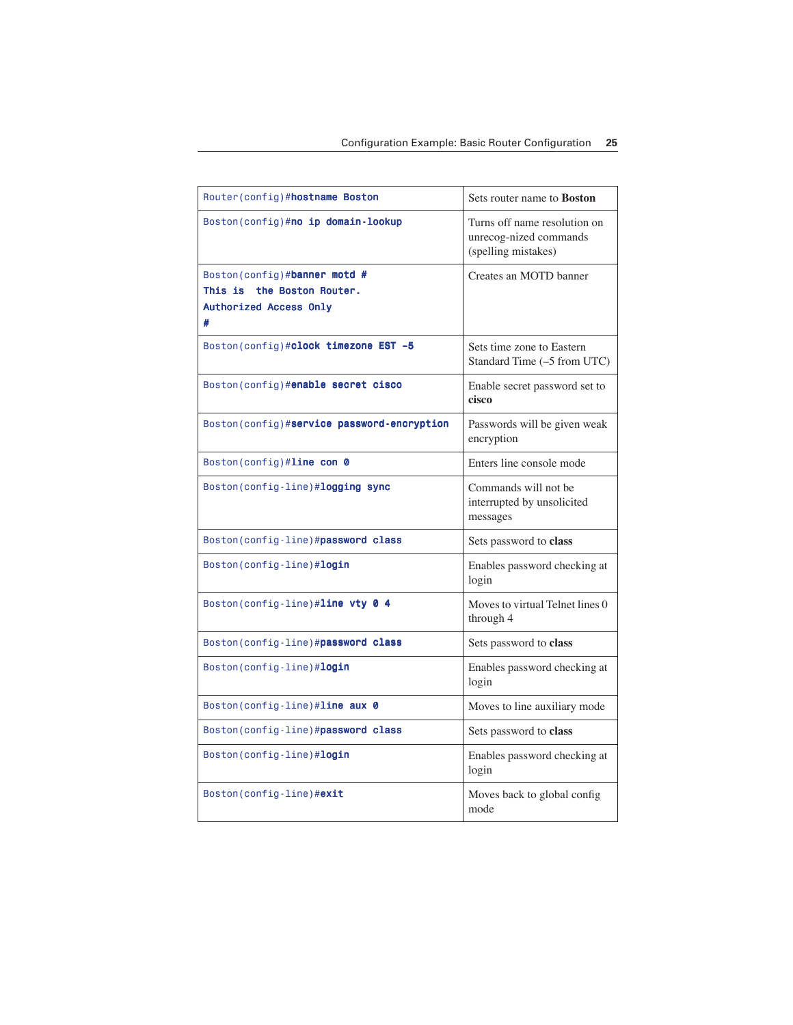| Router (config)#hostname Boston                                                              | Sets router name to <b>Boston</b>                                             |
|----------------------------------------------------------------------------------------------|-------------------------------------------------------------------------------|
| Boston(config)#no ip domain-lookup                                                           | Turns off name resolution on<br>unrecog-nized commands<br>(spelling mistakes) |
| Boston(config)#banner motd #<br>This is<br>the Boston Router.<br>Authorized Access Only<br># | Creates an MOTD banner                                                        |
| Boston(config)#clock timezone EST -5                                                         | Sets time zone to Eastern<br>Standard Time (-5 from UTC)                      |
| Boston(config)# <b>enable secret cisco</b>                                                   | Enable secret password set to<br>cisco                                        |
| Boston(config)#service password-encryption                                                   | Passwords will be given weak<br>encryption                                    |
| Boston(config)#line con 0                                                                    | Enters line console mode                                                      |
| Boston(config-line)#logging sync                                                             | Commands will not be<br>interrupted by unsolicited<br>messages                |
| Boston(config-line)#password class                                                           | Sets password to class                                                        |
| Boston(config-line)#login                                                                    | Enables password checking at<br>login                                         |
| Boston(config-line)# $line vty 0 4$                                                          | Moves to virtual Telnet lines 0<br>through 4                                  |
| Boston(config-line)#password class                                                           | Sets password to class                                                        |
| Boston(config-line)# <b>login</b>                                                            | Enables password checking at<br>login                                         |
| Boston(config-line)#line aux $\theta$                                                        | Moves to line auxiliary mode                                                  |
| Boston(config-line)#password class                                                           | Sets password to class                                                        |
| Boston(config-line)# <b>login</b>                                                            | Enables password checking at<br>login                                         |
| Boston(config-line)#exit                                                                     | Moves back to global config<br>mode                                           |